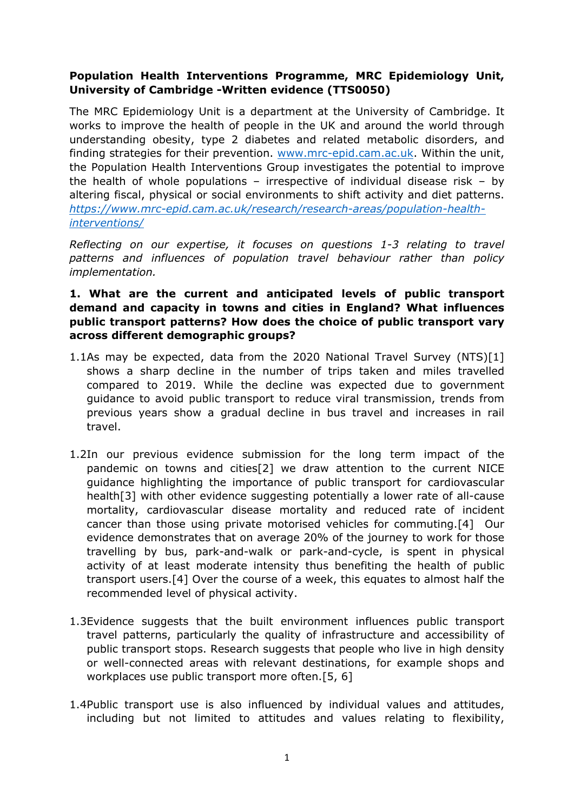# **Population Health Interventions Programme, MRC Epidemiology Unit, University of Cambridge -Written evidence (TTS0050)**

The MRC Epidemiology Unit is a department at the University of Cambridge. It works to improve the health of people in the UK and around the world through understanding obesity, type 2 diabetes and related metabolic disorders, and finding strategies for their prevention. [www.mrc-epid.cam.ac.uk](http://www.mrc-epid.cam.ac.uk/). Within the unit, the Population Health Interventions Group investigates the potential to improve the health of whole populations – irrespective of individual disease risk – by altering fiscal, physical or social environments to shift activity and diet patterns. *[https://www.mrc-epid.cam.ac.uk/research/research-areas/population-health](https://www.mrc-epid.cam.ac.uk/research/research-areas/population-health-interventions/)[interventions/](https://www.mrc-epid.cam.ac.uk/research/research-areas/population-health-interventions/)*

*Reflecting on our expertise, it focuses on questions 1-3 relating to travel patterns and influences of population travel behaviour rather than policy implementation.*

### **1. What are the current and anticipated levels of public transport demand and capacity in towns and cities in England? What influences public transport patterns? How does the choice of public transport vary across different demographic groups?**

- 1.1As may be expected, data from the 2020 National Travel Survey (NTS)[1] shows a sharp decline in the number of trips taken and miles travelled compared to 2019. While the decline was expected due to government guidance to avoid public transport to reduce viral transmission, trends from previous years show a gradual decline in bus travel and increases in rail travel.
- 1.2In our previous evidence submission for the long term impact of the pandemic on towns and cities[2] we draw attention to the current NICE guidance highlighting the importance of public transport for cardiovascular health[3] with other evidence suggesting potentially a lower rate of all-cause mortality, cardiovascular disease mortality and reduced rate of incident cancer than those using private motorised vehicles for commuting.[4] Our evidence demonstrates that on average 20% of the journey to work for those travelling by bus, park-and-walk or park-and-cycle, is spent in physical activity of at least moderate intensity thus benefiting the health of public transport users.[4] Over the course of a week, this equates to almost half the recommended level of physical activity.
- 1.3Evidence suggests that the built environment influences public transport travel patterns, particularly the quality of infrastructure and accessibility of public transport stops. Research suggests that people who live in high density or well-connected areas with relevant destinations, for example shops and workplaces use public transport more often.[5, 6]
- 1.4Public transport use is also influenced by individual values and attitudes, including but not limited to attitudes and values relating to flexibility,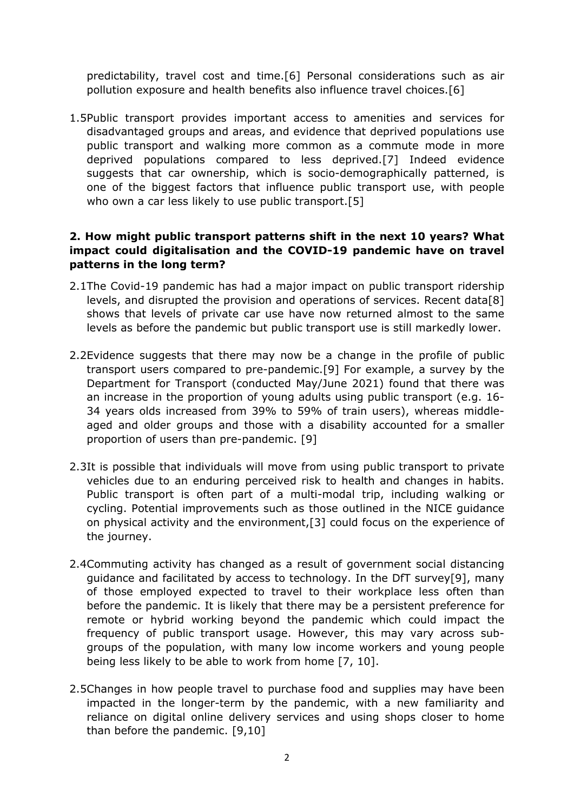predictability, travel cost and time.[6] Personal considerations such as air pollution exposure and health benefits also influence travel choices.[6]

1.5Public transport provides important access to amenities and services for disadvantaged groups and areas, and evidence that deprived populations use public transport and walking more common as a commute mode in more deprived populations compared to less deprived.[7] Indeed evidence suggests that car ownership, which is socio-demographically patterned, is one of the biggest factors that influence public transport use, with people who own a car less likely to use public transport.[5]

# **2. How might public transport patterns shift in the next 10 years? What impact could digitalisation and the COVID-19 pandemic have on travel patterns in the long term?**

- 2.1The Covid-19 pandemic has had a major impact on public transport ridership levels, and disrupted the provision and operations of services. Recent data[8] shows that levels of private car use have now returned almost to the same levels as before the pandemic but public transport use is still markedly lower.
- 2.2Evidence suggests that there may now be a change in the profile of public transport users compared to pre-pandemic.[9] For example, a survey by the Department for Transport (conducted May/June 2021) found that there was an increase in the proportion of young adults using public transport (e.g. 16- 34 years olds increased from 39% to 59% of train users), whereas middleaged and older groups and those with a disability accounted for a smaller proportion of users than pre-pandemic. [9]
- 2.3It is possible that individuals will move from using public transport to private vehicles due to an enduring perceived risk to health and changes in habits. Public transport is often part of a multi-modal trip, including walking or cycling. Potential improvements such as those outlined in the NICE guidance on physical activity and the environment,[3] could focus on the experience of the journey.
- 2.4Commuting activity has changed as a result of government social distancing guidance and facilitated by access to technology. In the DfT survey[9], many of those employed expected to travel to their workplace less often than before the pandemic. It is likely that there may be a persistent preference for remote or hybrid working beyond the pandemic which could impact the frequency of public transport usage. However, this may vary across subgroups of the population, with many low income workers and young people being less likely to be able to work from home [7, 10].
- 2.5Changes in how people travel to purchase food and supplies may have been impacted in the longer-term by the pandemic, with a new familiarity and reliance on digital online delivery services and using shops closer to home than before the pandemic. [9,10]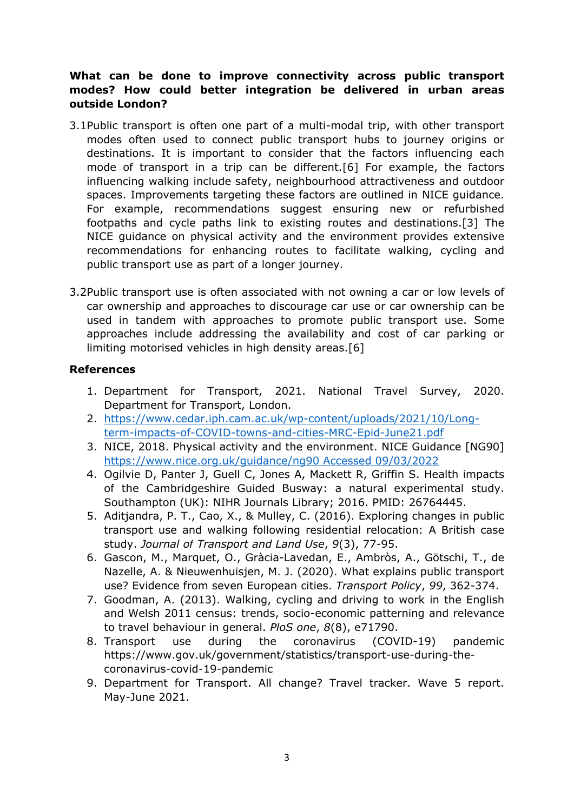# **What can be done to improve connectivity across public transport modes? How could better integration be delivered in urban areas outside London?**

- 3.1Public transport is often one part of a multi-modal trip, with other transport modes often used to connect public transport hubs to journey origins or destinations. It is important to consider that the factors influencing each mode of transport in a trip can be different.[6] For example, the factors influencing walking include safety, neighbourhood attractiveness and outdoor spaces. Improvements targeting these factors are outlined in NICE guidance. For example, recommendations suggest ensuring new or refurbished footpaths and cycle paths link to existing routes and destinations.[3] The NICE guidance on physical activity and the environment provides extensive recommendations for enhancing routes to facilitate walking, cycling and public transport use as part of a longer journey.
- 3.2Public transport use is often associated with not owning a car or low levels of car ownership and approaches to discourage car use or car ownership can be used in tandem with approaches to promote public transport use. Some approaches include addressing the availability and cost of car parking or limiting motorised vehicles in high density areas.[6]

#### **References**

- 1. Department for Transport, 2021. National Travel Survey, 2020. Department for Transport, London.
- 2. [https://www.cedar.iph.cam.ac.uk/wp-content/uploads/2021/10/Long](https://www.cedar.iph.cam.ac.uk/wp-content/uploads/2021/10/Long-term-impacts-of-COVID-towns-and-cities-MRC-Epid-June21.pdf)[term-impacts-of-COVID-towns-and-cities-MRC-Epid-June21.pdf](https://www.cedar.iph.cam.ac.uk/wp-content/uploads/2021/10/Long-term-impacts-of-COVID-towns-and-cities-MRC-Epid-June21.pdf)
- 3. NICE, 2018. Physical activity and the environment. NICE Guidance [NG90] [https://www.nice.org.uk/guidance/ng90](https://www.nice.org.uk/guidance/ng90%20Accessed%2009/03/2022) [Accessed](https://www.nice.org.uk/guidance/ng90%20Accessed%2009/03/2022) [09/03/2022](https://www.nice.org.uk/guidance/ng90%20Accessed%2009/03/2022)
- 4. Ogilvie D, Panter J, Guell C, Jones A, Mackett R, Griffin S. Health impacts of the Cambridgeshire Guided Busway: a natural experimental study. Southampton (UK): NIHR Journals Library; 2016. PMID: 26764445.
- 5. Aditjandra, P. T., Cao, X., & Mulley, C. (2016). Exploring changes in public transport use and walking following residential relocation: A British case study. *Journal of Transport and Land Use*, *9*(3), 77-95.
- 6. Gascon, M., Marquet, O., Gràcia-Lavedan, E., Ambròs, A., Götschi, T., de Nazelle, A. & Nieuwenhuisjen, M. J. (2020). What explains public transport use? Evidence from seven European cities. *Transport Policy*, *99*, 362-374.
- 7. Goodman, A. (2013). Walking, cycling and driving to work in the English and Welsh 2011 census: trends, socio-economic patterning and relevance to travel behaviour in general. *PloS one*, *8*(8), e71790.
- 8. Transport use during the coronavirus (COVID-19) pandemic https://www.gov.uk/government/statistics/transport-use-during-thecoronavirus-covid-19-pandemic
- 9. Department for Transport. All change? Travel tracker. Wave 5 report. May-June 2021.